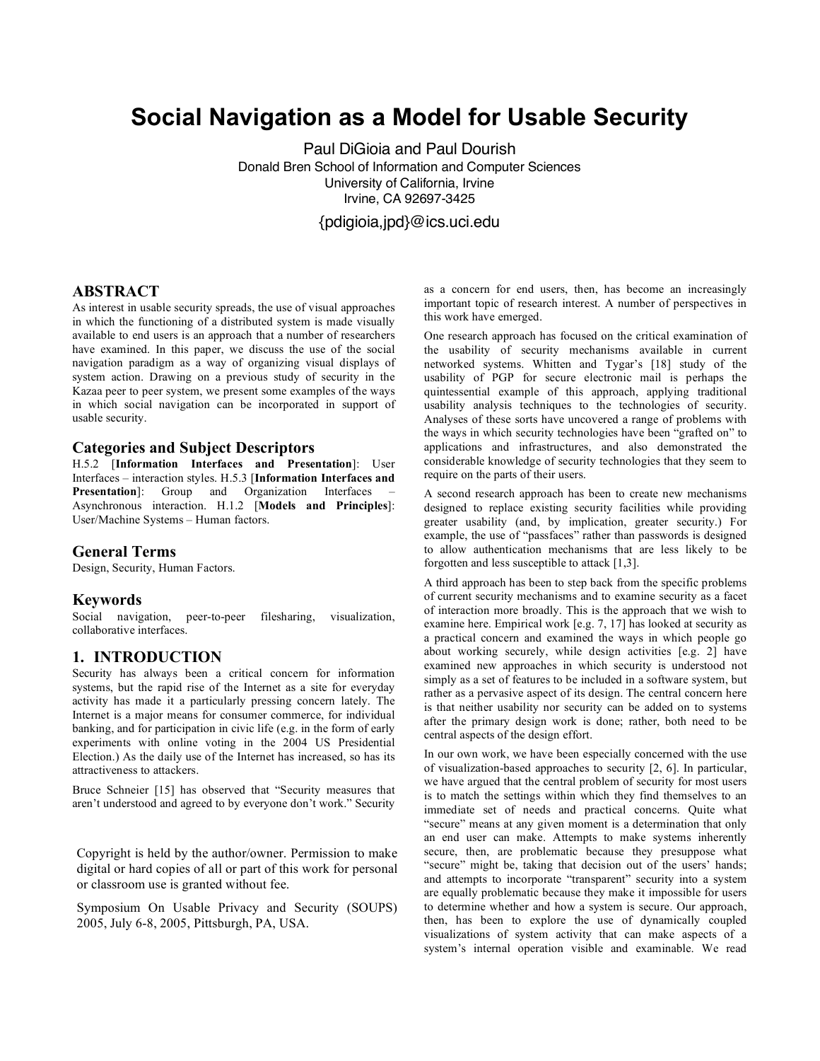# **Social Navigation as a Model for Usable Security**

Paul DiGioia and Paul Dourish Donald Bren School of Information and Computer Sciences University of California, Irvine Irvine, CA 92697-3425

{pdigioia,jpd}@ics.uci.edu

# **ABSTRACT**

As interest in usable security spreads, the use of visual approaches in which the functioning of a distributed system is made visually available to end users is an approach that a number of researchers have examined. In this paper, we discuss the use of the social navigation paradigm as a way of organizing visual displays of system action. Drawing on a previous study of security in the Kazaa peer to peer system, we present some examples of the ways in which social navigation can be incorporated in support of usable security.

#### **Categories and Subject Descriptors**

H.5.2 [**Information Interfaces and Presentation**]: User Interfaces – interaction styles. H.5.3 [**Information Interfaces and Presentation**]: Group and Organization Interfaces Asynchronous interaction. H.1.2 [**Models and Principles**]: User/Machine Systems – Human factors.

#### **General Terms**

Design, Security, Human Factors.

#### **Keywords**

Social navigation, peer-to-peer filesharing, visualization, collaborative interfaces.

## **1. INTRODUCTION**

Security has always been a critical concern for information systems, but the rapid rise of the Internet as a site for everyday activity has made it a particularly pressing concern lately. The Internet is a major means for consumer commerce, for individual banking, and for participation in civic life (e.g. in the form of early experiments with online voting in the 2004 US Presidential Election.) As the daily use of the Internet has increased, so has its attractiveness to attackers.

Bruce Schneier [15] has observed that "Security measures that aren't understood and agreed to by everyone don't work." Security

Copyright is held by the author/owner. Permission to make digital or hard copies of all or part of this work for personal or classroom use is granted without fee.

Symposium On Usable Privacy and Security (SOUPS) 2005, July 6-8, 2005, Pittsburgh, PA, USA.

as a concern for end users, then, has become an increasingly important topic of research interest. A number of perspectives in this work have emerged.

One research approach has focused on the critical examination of the usability of security mechanisms available in current networked systems. Whitten and Tygar's [18] study of the usability of PGP for secure electronic mail is perhaps the quintessential example of this approach, applying traditional usability analysis techniques to the technologies of security. Analyses of these sorts have uncovered a range of problems with the ways in which security technologies have been "grafted on" to applications and infrastructures, and also demonstrated the considerable knowledge of security technologies that they seem to require on the parts of their users.

A second research approach has been to create new mechanisms designed to replace existing security facilities while providing greater usability (and, by implication, greater security.) For example, the use of "passfaces" rather than passwords is designed to allow authentication mechanisms that are less likely to be forgotten and less susceptible to attack [1,3].

A third approach has been to step back from the specific problems of current security mechanisms and to examine security as a facet of interaction more broadly. This is the approach that we wish to examine here. Empirical work [e.g. 7, 17] has looked at security as a practical concern and examined the ways in which people go about working securely, while design activities [e.g. 2] have examined new approaches in which security is understood not simply as a set of features to be included in a software system, but rather as a pervasive aspect of its design. The central concern here is that neither usability nor security can be added on to systems after the primary design work is done; rather, both need to be central aspects of the design effort.

In our own work, we have been especially concerned with the use of visualization-based approaches to security [2, 6]. In particular, we have argued that the central problem of security for most users is to match the settings within which they find themselves to an immediate set of needs and practical concerns. Quite what "secure" means at any given moment is a determination that only an end user can make. Attempts to make systems inherently secure, then, are problematic because they presuppose what "secure" might be, taking that decision out of the users' hands; and attempts to incorporate "transparent" security into a system are equally problematic because they make it impossible for users to determine whether and how a system is secure. Our approach, then, has been to explore the use of dynamically coupled visualizations of system activity that can make aspects of a system's internal operation visible and examinable. We read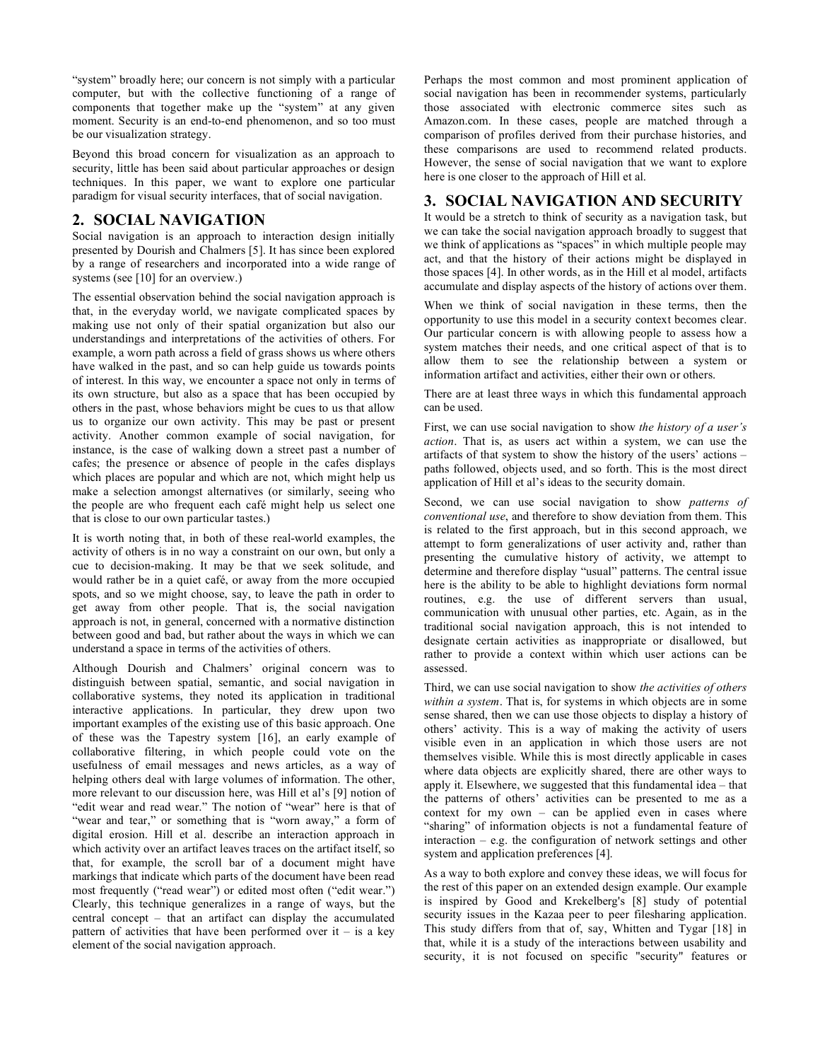"system" broadly here; our concern is not simply with a particular computer, but with the collective functioning of a range of components that together make up the "system" at any given moment. Security is an end-to-end phenomenon, and so too must be our visualization strategy.

Beyond this broad concern for visualization as an approach to security, little has been said about particular approaches or design techniques. In this paper, we want to explore one particular paradigm for visual security interfaces, that of social navigation.

# **2. SOCIAL NAVIGATION**

Social navigation is an approach to interaction design initially presented by Dourish and Chalmers [5]. It has since been explored by a range of researchers and incorporated into a wide range of systems (see [10] for an overview.)

The essential observation behind the social navigation approach is that, in the everyday world, we navigate complicated spaces by making use not only of their spatial organization but also our understandings and interpretations of the activities of others. For example, a worn path across a field of grass shows us where others have walked in the past, and so can help guide us towards points of interest. In this way, we encounter a space not only in terms of its own structure, but also as a space that has been occupied by others in the past, whose behaviors might be cues to us that allow us to organize our own activity. This may be past or present activity. Another common example of social navigation, for instance, is the case of walking down a street past a number of cafes; the presence or absence of people in the cafes displays which places are popular and which are not, which might help us make a selection amongst alternatives (or similarly, seeing who the people are who frequent each café might help us select one that is close to our own particular tastes.)

It is worth noting that, in both of these real-world examples, the activity of others is in no way a constraint on our own, but only a cue to decision-making. It may be that we seek solitude, and would rather be in a quiet café, or away from the more occupied spots, and so we might choose, say, to leave the path in order to get away from other people. That is, the social navigation approach is not, in general, concerned with a normative distinction between good and bad, but rather about the ways in which we can understand a space in terms of the activities of others.

Although Dourish and Chalmers' original concern was to distinguish between spatial, semantic, and social navigation in collaborative systems, they noted its application in traditional interactive applications. In particular, they drew upon two important examples of the existing use of this basic approach. One of these was the Tapestry system [16], an early example of collaborative filtering, in which people could vote on the usefulness of email messages and news articles, as a way of helping others deal with large volumes of information. The other, more relevant to our discussion here, was Hill et al's [9] notion of "edit wear and read wear." The notion of "wear" here is that of "wear and tear," or something that is "worn away," a form of digital erosion. Hill et al. describe an interaction approach in which activity over an artifact leaves traces on the artifact itself, so that, for example, the scroll bar of a document might have markings that indicate which parts of the document have been read most frequently ("read wear") or edited most often ("edit wear.") Clearly, this technique generalizes in a range of ways, but the central concept – that an artifact can display the accumulated pattern of activities that have been performed over  $it - is a key$ element of the social navigation approach.

Perhaps the most common and most prominent application of social navigation has been in recommender systems, particularly those associated with electronic commerce sites such as Amazon.com. In these cases, people are matched through a comparison of profiles derived from their purchase histories, and these comparisons are used to recommend related products. However, the sense of social navigation that we want to explore here is one closer to the approach of Hill et al.

# **3. SOCIAL NAVIGATION AND SECURITY**

It would be a stretch to think of security as a navigation task, but we can take the social navigation approach broadly to suggest that we think of applications as "spaces" in which multiple people may act, and that the history of their actions might be displayed in those spaces [4]. In other words, as in the Hill et al model, artifacts accumulate and display aspects of the history of actions over them.

When we think of social navigation in these terms, then the opportunity to use this model in a security context becomes clear. Our particular concern is with allowing people to assess how a system matches their needs, and one critical aspect of that is to allow them to see the relationship between a system or information artifact and activities, either their own or others.

There are at least three ways in which this fundamental approach can be used.

First, we can use social navigation to show *the history of a user's action*. That is, as users act within a system, we can use the artifacts of that system to show the history of the users' actions – paths followed, objects used, and so forth. This is the most direct application of Hill et al's ideas to the security domain.

Second, we can use social navigation to show *patterns of conventional use*, and therefore to show deviation from them. This is related to the first approach, but in this second approach, we attempt to form generalizations of user activity and, rather than presenting the cumulative history of activity, we attempt to determine and therefore display "usual" patterns. The central issue here is the ability to be able to highlight deviations form normal routines, e.g. the use of different servers than usual, communication with unusual other parties, etc. Again, as in the traditional social navigation approach, this is not intended to designate certain activities as inappropriate or disallowed, but rather to provide a context within which user actions can be assessed.

Third, we can use social navigation to show *the activities of others within a system*. That is, for systems in which objects are in some sense shared, then we can use those objects to display a history of others' activity. This is a way of making the activity of users visible even in an application in which those users are not themselves visible. While this is most directly applicable in cases where data objects are explicitly shared, there are other ways to apply it. Elsewhere, we suggested that this fundamental idea – that the patterns of others' activities can be presented to me as a context for my own – can be applied even in cases where "sharing" of information objects is not a fundamental feature of interaction – e.g. the configuration of network settings and other system and application preferences [4].

As a way to both explore and convey these ideas, we will focus for the rest of this paper on an extended design example. Our example is inspired by Good and Krekelberg's [8] study of potential security issues in the Kazaa peer to peer filesharing application. This study differs from that of, say, Whitten and Tygar [18] in that, while it is a study of the interactions between usability and security, it is not focused on specific "security" features or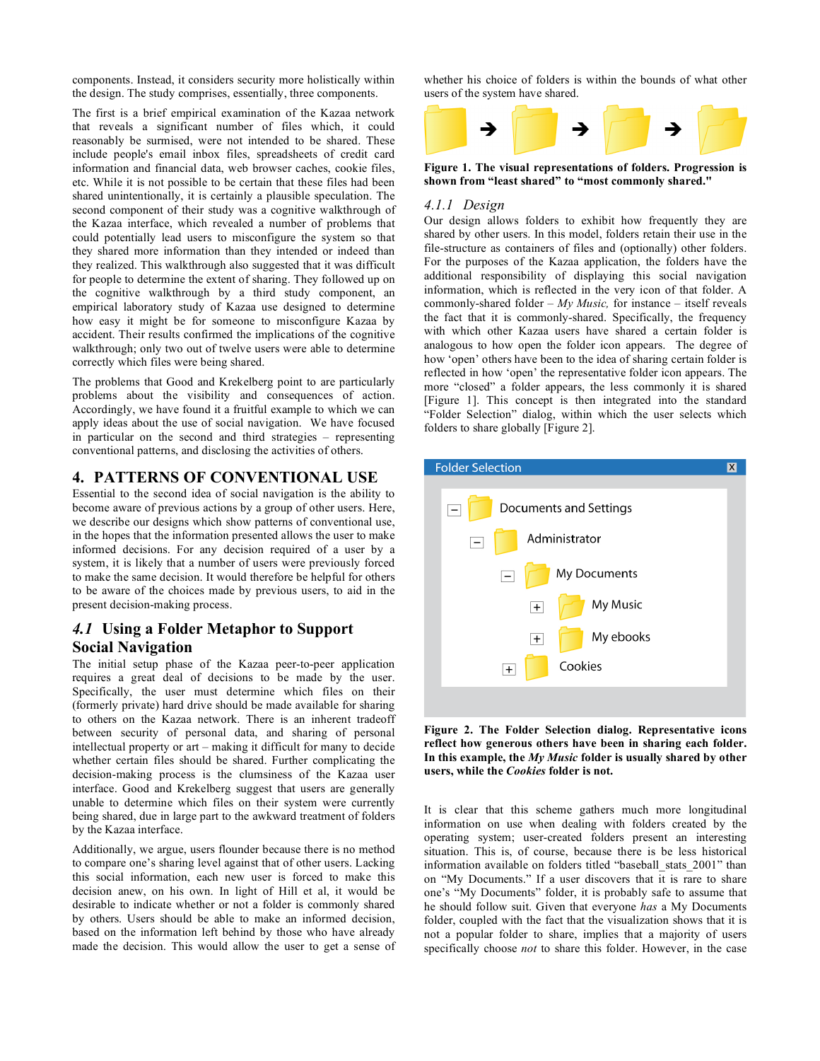components. Instead, it considers security more holistically within the design. The study comprises, essentially, three components.

The first is a brief empirical examination of the Kazaa network that reveals a significant number of files which, it could reasonably be surmised, were not intended to be shared. These include people's email inbox files, spreadsheets of credit card information and financial data, web browser caches, cookie files, etc. While it is not possible to be certain that these files had been shared unintentionally, it is certainly a plausible speculation. The second component of their study was a cognitive walkthrough of the Kazaa interface, which revealed a number of problems that could potentially lead users to misconfigure the system so that they shared more information than they intended or indeed than they realized. This walkthrough also suggested that it was difficult for people to determine the extent of sharing. They followed up on the cognitive walkthrough by a third study component, an empirical laboratory study of Kazaa use designed to determine how easy it might be for someone to misconfigure Kazaa by accident. Their results confirmed the implications of the cognitive walkthrough; only two out of twelve users were able to determine correctly which files were being shared.

The problems that Good and Krekelberg point to are particularly problems about the visibility and consequences of action. Accordingly, we have found it a fruitful example to which we can apply ideas about the use of social navigation. We have focused in particular on the second and third strategies – representing conventional patterns, and disclosing the activities of others.

## **4. PATTERNS OF CONVENTIONAL USE**

Essential to the second idea of social navigation is the ability to become aware of previous actions by a group of other users. Here, we describe our designs which show patterns of conventional use, in the hopes that the information presented allows the user to make informed decisions. For any decision required of a user by a system, it is likely that a number of users were previously forced to make the same decision. It would therefore be helpful for others to be aware of the choices made by previous users, to aid in the present decision-making process.

# *4.1* **Using a Folder Metaphor to Support Social Navigation**

The initial setup phase of the Kazaa peer-to-peer application requires a great deal of decisions to be made by the user. Specifically, the user must determine which files on their (formerly private) hard drive should be made available for sharing to others on the Kazaa network. There is an inherent tradeoff between security of personal data, and sharing of personal intellectual property or art – making it difficult for many to decide whether certain files should be shared. Further complicating the decision-making process is the clumsiness of the Kazaa user interface. Good and Krekelberg suggest that users are generally unable to determine which files on their system were currently being shared, due in large part to the awkward treatment of folders by the Kazaa interface.

Additionally, we argue, users flounder because there is no method to compare one's sharing level against that of other users. Lacking this social information, each new user is forced to make this decision anew, on his own. In light of Hill et al, it would be desirable to indicate whether or not a folder is commonly shared by others. Users should be able to make an informed decision, based on the information left behind by those who have already made the decision. This would allow the user to get a sense of whether his choice of folders is within the bounds of what other users of the system have shared.



**Figure 1. The visual representations of folders. Progression is shown from "least shared" to "most commonly shared."**

#### *4.1.1 Design*

Our design allows folders to exhibit how frequently they are shared by other users. In this model, folders retain their use in the file-structure as containers of files and (optionally) other folders. For the purposes of the Kazaa application, the folders have the additional responsibility of displaying this social navigation information, which is reflected in the very icon of that folder. A commonly-shared folder – *My Music,* for instance – itself reveals the fact that it is commonly-shared. Specifically, the frequency with which other Kazaa users have shared a certain folder is analogous to how open the folder icon appears. The degree of how 'open' others have been to the idea of sharing certain folder is reflected in how 'open' the representative folder icon appears. The more "closed" a folder appears, the less commonly it is shared [Figure 1]. This concept is then integrated into the standard "Folder Selection" dialog, within which the user selects which folders to share globally [Figure 2].



**Figure 2. The Folder Selection dialog. Representative icons reflect how generous others have been in sharing each folder. In this example, the** *My Music* **folder is usually shared by other users, while the** *Cookies* **folder is not.**

It is clear that this scheme gathers much more longitudinal information on use when dealing with folders created by the operating system; user-created folders present an interesting situation. This is, of course, because there is be less historical information available on folders titled "baseball\_stats\_2001" than on "My Documents." If a user discovers that it is rare to share one's "My Documents" folder, it is probably safe to assume that he should follow suit. Given that everyone *has* a My Documents folder, coupled with the fact that the visualization shows that it is not a popular folder to share, implies that a majority of users specifically choose *not* to share this folder. However, in the case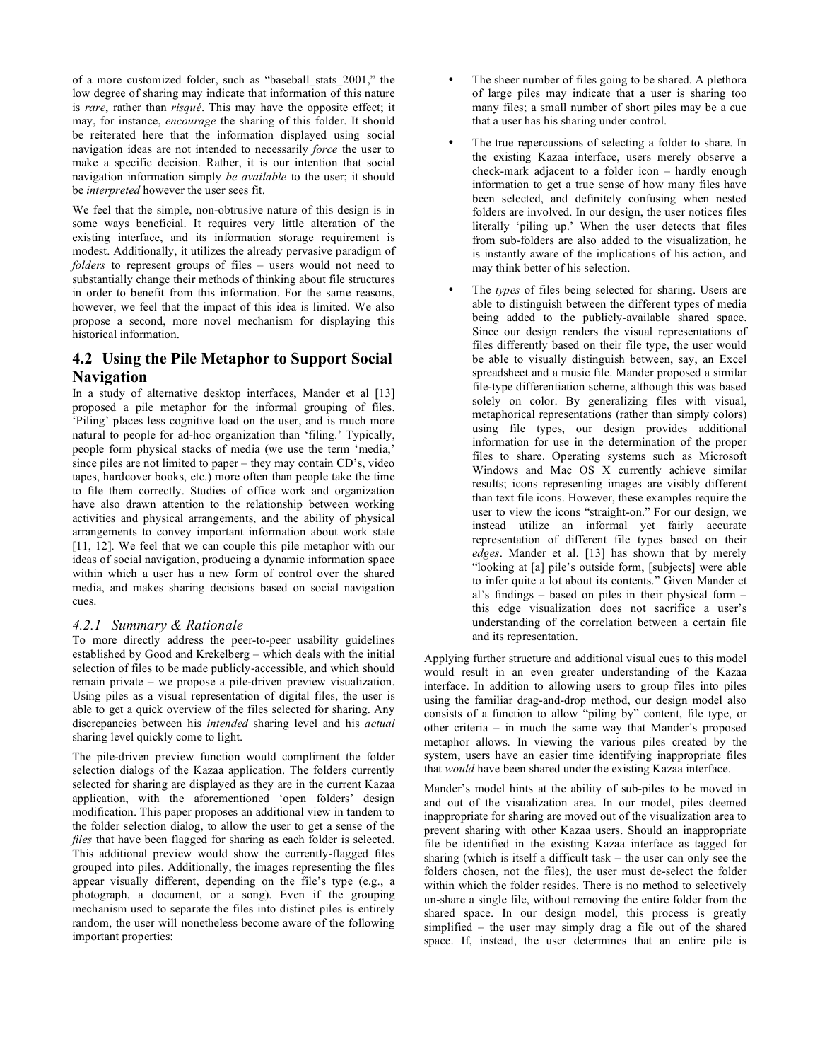of a more customized folder, such as "baseball\_stats\_2001," the low degree of sharing may indicate that information of this nature is *rare*, rather than *risqué*. This may have the opposite effect; it may, for instance, *encourage* the sharing of this folder. It should be reiterated here that the information displayed using social navigation ideas are not intended to necessarily *force* the user to make a specific decision. Rather, it is our intention that social navigation information simply *be available* to the user; it should be *interpreted* however the user sees fit.

We feel that the simple, non-obtrusive nature of this design is in some ways beneficial. It requires very little alteration of the existing interface, and its information storage requirement is modest. Additionally, it utilizes the already pervasive paradigm of *folders* to represent groups of files – users would not need to substantially change their methods of thinking about file structures in order to benefit from this information. For the same reasons, however, we feel that the impact of this idea is limited. We also propose a second, more novel mechanism for displaying this historical information.

# **4.2 Using the Pile Metaphor to Support Social Navigation**

In a study of alternative desktop interfaces, Mander et al [13] proposed a pile metaphor for the informal grouping of files. 'Piling' places less cognitive load on the user, and is much more natural to people for ad-hoc organization than 'filing.' Typically, people form physical stacks of media (we use the term 'media,' since piles are not limited to paper – they may contain CD's, video tapes, hardcover books, etc.) more often than people take the time to file them correctly. Studies of office work and organization have also drawn attention to the relationship between working activities and physical arrangements, and the ability of physical arrangements to convey important information about work state [11, 12]. We feel that we can couple this pile metaphor with our ideas of social navigation, producing a dynamic information space within which a user has a new form of control over the shared media, and makes sharing decisions based on social navigation cues.

## *4.2.1 Summary & Rationale*

To more directly address the peer-to-peer usability guidelines established by Good and Krekelberg – which deals with the initial selection of files to be made publicly-accessible, and which should remain private – we propose a pile-driven preview visualization. Using piles as a visual representation of digital files, the user is able to get a quick overview of the files selected for sharing. Any discrepancies between his *intended* sharing level and his *actual* sharing level quickly come to light.

The pile-driven preview function would compliment the folder selection dialogs of the Kazaa application. The folders currently selected for sharing are displayed as they are in the current Kazaa application, with the aforementioned 'open folders' design modification. This paper proposes an additional view in tandem to the folder selection dialog, to allow the user to get a sense of the *files* that have been flagged for sharing as each folder is selected. This additional preview would show the currently-flagged files grouped into piles. Additionally, the images representing the files appear visually different, depending on the file's type (e.g., a photograph, a document, or a song). Even if the grouping mechanism used to separate the files into distinct piles is entirely random, the user will nonetheless become aware of the following important properties:

- The sheer number of files going to be shared. A plethora of large piles may indicate that a user is sharing too many files; a small number of short piles may be a cue that a user has his sharing under control.
- The true repercussions of selecting a folder to share. In the existing Kazaa interface, users merely observe a check-mark adjacent to a folder icon – hardly enough information to get a true sense of how many files have been selected, and definitely confusing when nested folders are involved. In our design, the user notices files literally 'piling up.' When the user detects that files from sub-folders are also added to the visualization, he is instantly aware of the implications of his action, and may think better of his selection.
- The *types* of files being selected for sharing. Users are able to distinguish between the different types of media being added to the publicly-available shared space. Since our design renders the visual representations of files differently based on their file type, the user would be able to visually distinguish between, say, an Excel spreadsheet and a music file. Mander proposed a similar file-type differentiation scheme, although this was based solely on color. By generalizing files with visual, metaphorical representations (rather than simply colors) using file types, our design provides additional information for use in the determination of the proper files to share. Operating systems such as Microsoft Windows and Mac OS X currently achieve similar results; icons representing images are visibly different than text file icons. However, these examples require the user to view the icons "straight-on." For our design, we instead utilize an informal yet fairly accurate representation of different file types based on their *edges*. Mander et al. [13] has shown that by merely "looking at [a] pile's outside form, [subjects] were able to infer quite a lot about its contents." Given Mander et al's findings – based on piles in their physical form – this edge visualization does not sacrifice a user's understanding of the correlation between a certain file and its representation.

Applying further structure and additional visual cues to this model would result in an even greater understanding of the Kazaa interface. In addition to allowing users to group files into piles using the familiar drag-and-drop method, our design model also consists of a function to allow "piling by" content, file type, or other criteria – in much the same way that Mander's proposed metaphor allows. In viewing the various piles created by the system, users have an easier time identifying inappropriate files that *would* have been shared under the existing Kazaa interface.

Mander's model hints at the ability of sub-piles to be moved in and out of the visualization area. In our model, piles deemed inappropriate for sharing are moved out of the visualization area to prevent sharing with other Kazaa users. Should an inappropriate file be identified in the existing Kazaa interface as tagged for sharing (which is itself a difficult task – the user can only see the folders chosen, not the files), the user must de-select the folder within which the folder resides. There is no method to selectively un-share a single file, without removing the entire folder from the shared space. In our design model, this process is greatly simplified – the user may simply drag a file out of the shared space. If, instead, the user determines that an entire pile is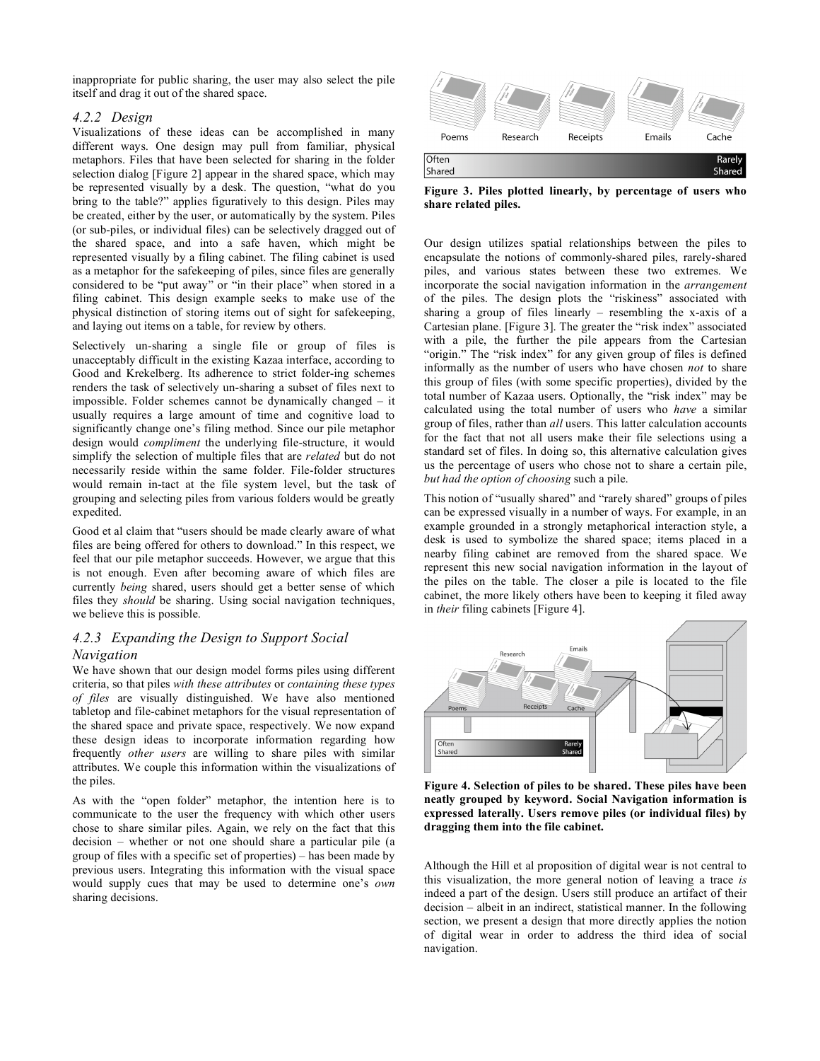inappropriate for public sharing, the user may also select the pile itself and drag it out of the shared space.

#### *4.2.2 Design*

Visualizations of these ideas can be accomplished in many different ways. One design may pull from familiar, physical metaphors. Files that have been selected for sharing in the folder selection dialog [Figure 2] appear in the shared space, which may be represented visually by a desk. The question, "what do you bring to the table?" applies figuratively to this design. Piles may be created, either by the user, or automatically by the system. Piles (or sub-piles, or individual files) can be selectively dragged out of the shared space, and into a safe haven, which might be represented visually by a filing cabinet. The filing cabinet is used as a metaphor for the safekeeping of piles, since files are generally considered to be "put away" or "in their place" when stored in a filing cabinet. This design example seeks to make use of the physical distinction of storing items out of sight for safekeeping, and laying out items on a table, for review by others.

Selectively un-sharing a single file or group of files is unacceptably difficult in the existing Kazaa interface, according to Good and Krekelberg. Its adherence to strict folder-ing schemes renders the task of selectively un-sharing a subset of files next to impossible. Folder schemes cannot be dynamically changed – it usually requires a large amount of time and cognitive load to significantly change one's filing method. Since our pile metaphor design would *compliment* the underlying file-structure, it would simplify the selection of multiple files that are *related* but do not necessarily reside within the same folder. File-folder structures would remain in-tact at the file system level, but the task of grouping and selecting piles from various folders would be greatly expedited.

Good et al claim that "users should be made clearly aware of what files are being offered for others to download." In this respect, we feel that our pile metaphor succeeds. However, we argue that this is not enough. Even after becoming aware of which files are currently *being* shared, users should get a better sense of which files they *should* be sharing. Using social navigation techniques, we believe this is possible.

#### *4.2.3 Expanding the Design to Support Social Navigation*

We have shown that our design model forms piles using different criteria, so that piles *with these attributes* or *containing these types of files* are visually distinguished. We have also mentioned tabletop and file-cabinet metaphors for the visual representation of the shared space and private space, respectively. We now expand these design ideas to incorporate information regarding how frequently *other users* are willing to share piles with similar attributes. We couple this information within the visualizations of the piles.

As with the "open folder" metaphor, the intention here is to communicate to the user the frequency with which other users chose to share similar piles. Again, we rely on the fact that this decision – whether or not one should share a particular pile (a group of files with a specific set of properties) – has been made by previous users. Integrating this information with the visual space would supply cues that may be used to determine one's *own* sharing decisions.



**Figure 3. Piles plotted linearly, by percentage of users who share related piles.**

Our design utilizes spatial relationships between the piles to encapsulate the notions of commonly-shared piles, rarely-shared piles, and various states between these two extremes. We incorporate the social navigation information in the *arrangement* of the piles. The design plots the "riskiness" associated with sharing a group of files linearly – resembling the x-axis of a Cartesian plane. [Figure 3]. The greater the "risk index" associated with a pile, the further the pile appears from the Cartesian "origin." The "risk index" for any given group of files is defined informally as the number of users who have chosen *not* to share this group of files (with some specific properties), divided by the total number of Kazaa users. Optionally, the "risk index" may be calculated using the total number of users who *have* a similar group of files, rather than *all* users. This latter calculation accounts for the fact that not all users make their file selections using a standard set of files. In doing so, this alternative calculation gives us the percentage of users who chose not to share a certain pile, *but had the option of choosing* such a pile.

This notion of "usually shared" and "rarely shared" groups of piles can be expressed visually in a number of ways. For example, in an example grounded in a strongly metaphorical interaction style, a desk is used to symbolize the shared space; items placed in a nearby filing cabinet are removed from the shared space. We represent this new social navigation information in the layout of the piles on the table. The closer a pile is located to the file cabinet, the more likely others have been to keeping it filed away in *their* filing cabinets [Figure 4].



**Figure 4. Selection of piles to be shared. These piles have been neatly grouped by keyword. Social Navigation information is expressed laterally. Users remove piles (or individual files) by dragging them into the file cabinet.**

Although the Hill et al proposition of digital wear is not central to this visualization, the more general notion of leaving a trace *is* indeed a part of the design. Users still produce an artifact of their decision – albeit in an indirect, statistical manner. In the following section, we present a design that more directly applies the notion of digital wear in order to address the third idea of social navigation.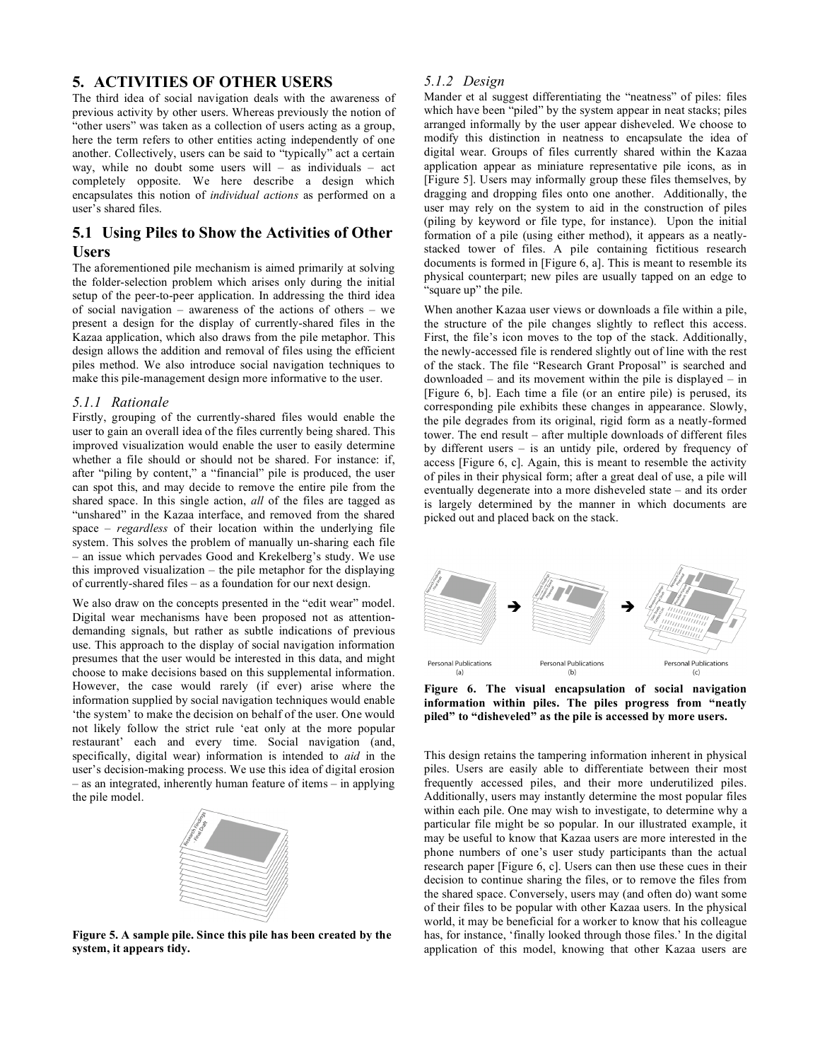# **5. ACTIVITIES OF OTHER USERS**

The third idea of social navigation deals with the awareness of previous activity by other users. Whereas previously the notion of "other users" was taken as a collection of users acting as a group, here the term refers to other entities acting independently of one another. Collectively, users can be said to "typically" act a certain way, while no doubt some users will – as individuals – act completely opposite. We here describe a design which encapsulates this notion of *individual actions* as performed on a user's shared files.

# **5.1 Using Piles to Show the Activities of Other Users**

The aforementioned pile mechanism is aimed primarily at solving the folder-selection problem which arises only during the initial setup of the peer-to-peer application. In addressing the third idea of social navigation – awareness of the actions of others – we present a design for the display of currently-shared files in the Kazaa application, which also draws from the pile metaphor. This design allows the addition and removal of files using the efficient piles method. We also introduce social navigation techniques to make this pile-management design more informative to the user.

#### *5.1.1 Rationale*

Firstly, grouping of the currently-shared files would enable the user to gain an overall idea of the files currently being shared. This improved visualization would enable the user to easily determine whether a file should or should not be shared. For instance: if, after "piling by content," a "financial" pile is produced, the user can spot this, and may decide to remove the entire pile from the shared space. In this single action, *all* of the files are tagged as "unshared" in the Kazaa interface, and removed from the shared space – *regardless* of their location within the underlying file system. This solves the problem of manually un-sharing each file – an issue which pervades Good and Krekelberg's study. We use this improved visualization – the pile metaphor for the displaying of currently-shared files – as a foundation for our next design.

We also draw on the concepts presented in the "edit wear" model. Digital wear mechanisms have been proposed not as attentiondemanding signals, but rather as subtle indications of previous use. This approach to the display of social navigation information presumes that the user would be interested in this data, and might choose to make decisions based on this supplemental information. However, the case would rarely (if ever) arise where the information supplied by social navigation techniques would enable 'the system' to make the decision on behalf of the user. One would not likely follow the strict rule 'eat only at the more popular restaurant' each and every time. Social navigation (and, specifically, digital wear) information is intended to *aid* in the user's decision-making process. We use this idea of digital erosion – as an integrated, inherently human feature of items – in applying the pile model.



**Figure 5. A sample pile. Since this pile has been created by the system, it appears tidy.**

#### *5.1.2 Design*

Mander et al suggest differentiating the "neatness" of piles: files which have been "piled" by the system appear in neat stacks; piles arranged informally by the user appear disheveled. We choose to modify this distinction in neatness to encapsulate the idea of digital wear. Groups of files currently shared within the Kazaa application appear as miniature representative pile icons, as in [Figure 5]. Users may informally group these files themselves, by dragging and dropping files onto one another. Additionally, the user may rely on the system to aid in the construction of piles (piling by keyword or file type, for instance). Upon the initial formation of a pile (using either method), it appears as a neatlystacked tower of files. A pile containing fictitious research documents is formed in [Figure 6, a]. This is meant to resemble its physical counterpart; new piles are usually tapped on an edge to "square up" the pile.

When another Kazaa user views or downloads a file within a pile, the structure of the pile changes slightly to reflect this access. First, the file's icon moves to the top of the stack. Additionally, the newly-accessed file is rendered slightly out of line with the rest of the stack. The file "Research Grant Proposal" is searched and downloaded – and its movement within the pile is displayed – in [Figure 6, b]. Each time a file (or an entire pile) is perused, its corresponding pile exhibits these changes in appearance. Slowly, the pile degrades from its original, rigid form as a neatly-formed tower. The end result – after multiple downloads of different files by different users – is an untidy pile, ordered by frequency of access [Figure 6, c]. Again, this is meant to resemble the activity of piles in their physical form; after a great deal of use, a pile will eventually degenerate into a more disheveled state – and its order is largely determined by the manner in which documents are picked out and placed back on the stack.



**Figure 6. The visual encapsulation of social navigation information within piles. The piles progress from "neatly piled" to "disheveled" as the pile is accessed by more users.**

This design retains the tampering information inherent in physical piles. Users are easily able to differentiate between their most frequently accessed piles, and their more underutilized piles. Additionally, users may instantly determine the most popular files within each pile. One may wish to investigate, to determine why a particular file might be so popular. In our illustrated example, it may be useful to know that Kazaa users are more interested in the phone numbers of one's user study participants than the actual research paper [Figure 6, c]. Users can then use these cues in their decision to continue sharing the files, or to remove the files from the shared space. Conversely, users may (and often do) want some of their files to be popular with other Kazaa users. In the physical world, it may be beneficial for a worker to know that his colleague has, for instance, 'finally looked through those files.' In the digital application of this model, knowing that other Kazaa users are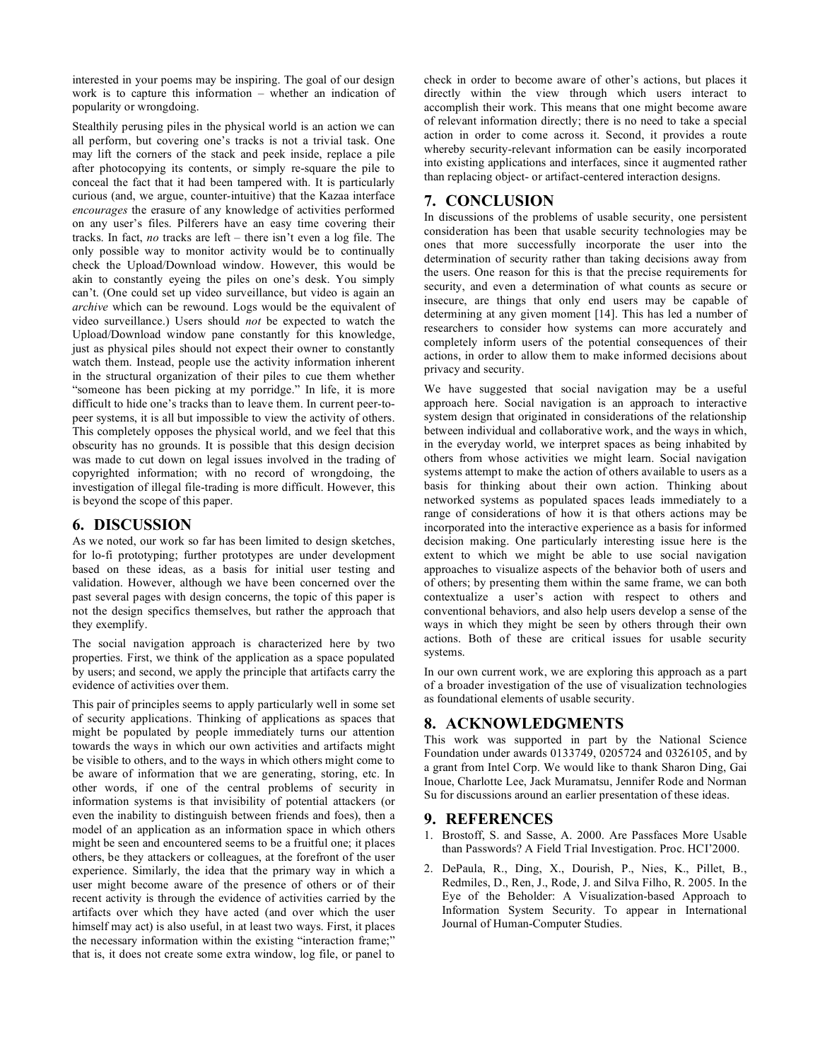interested in your poems may be inspiring. The goal of our design work is to capture this information – whether an indication of popularity or wrongdoing.

Stealthily perusing piles in the physical world is an action we can all perform, but covering one's tracks is not a trivial task. One may lift the corners of the stack and peek inside, replace a pile after photocopying its contents, or simply re-square the pile to conceal the fact that it had been tampered with. It is particularly curious (and, we argue, counter-intuitive) that the Kazaa interface *encourages* the erasure of any knowledge of activities performed on any user's files. Pilferers have an easy time covering their tracks. In fact, *no* tracks are left – there isn't even a log file. The only possible way to monitor activity would be to continually check the Upload/Download window. However, this would be akin to constantly eyeing the piles on one's desk. You simply can't. (One could set up video surveillance, but video is again an *archive* which can be rewound. Logs would be the equivalent of video surveillance.) Users should *not* be expected to watch the Upload/Download window pane constantly for this knowledge, just as physical piles should not expect their owner to constantly watch them. Instead, people use the activity information inherent in the structural organization of their piles to cue them whether "someone has been picking at my porridge." In life, it is more difficult to hide one's tracks than to leave them. In current peer-topeer systems, it is all but impossible to view the activity of others. This completely opposes the physical world, and we feel that this obscurity has no grounds. It is possible that this design decision was made to cut down on legal issues involved in the trading of copyrighted information; with no record of wrongdoing, the investigation of illegal file-trading is more difficult. However, this is beyond the scope of this paper.

# **6. DISCUSSION**

As we noted, our work so far has been limited to design sketches, for lo-fi prototyping; further prototypes are under development based on these ideas, as a basis for initial user testing and validation. However, although we have been concerned over the past several pages with design concerns, the topic of this paper is not the design specifics themselves, but rather the approach that they exemplify.

The social navigation approach is characterized here by two properties. First, we think of the application as a space populated by users; and second, we apply the principle that artifacts carry the evidence of activities over them.

This pair of principles seems to apply particularly well in some set of security applications. Thinking of applications as spaces that might be populated by people immediately turns our attention towards the ways in which our own activities and artifacts might be visible to others, and to the ways in which others might come to be aware of information that we are generating, storing, etc. In other words, if one of the central problems of security in information systems is that invisibility of potential attackers (or even the inability to distinguish between friends and foes), then a model of an application as an information space in which others might be seen and encountered seems to be a fruitful one; it places others, be they attackers or colleagues, at the forefront of the user experience. Similarly, the idea that the primary way in which a user might become aware of the presence of others or of their recent activity is through the evidence of activities carried by the artifacts over which they have acted (and over which the user himself may act) is also useful, in at least two ways. First, it places the necessary information within the existing "interaction frame;" that is, it does not create some extra window, log file, or panel to

check in order to become aware of other's actions, but places it directly within the view through which users interact to accomplish their work. This means that one might become aware of relevant information directly; there is no need to take a special action in order to come across it. Second, it provides a route whereby security-relevant information can be easily incorporated into existing applications and interfaces, since it augmented rather than replacing object- or artifact-centered interaction designs.

# **7. CONCLUSION**

In discussions of the problems of usable security, one persistent consideration has been that usable security technologies may be ones that more successfully incorporate the user into the determination of security rather than taking decisions away from the users. One reason for this is that the precise requirements for security, and even a determination of what counts as secure or insecure, are things that only end users may be capable of determining at any given moment [14]. This has led a number of researchers to consider how systems can more accurately and completely inform users of the potential consequences of their actions, in order to allow them to make informed decisions about privacy and security.

We have suggested that social navigation may be a useful approach here. Social navigation is an approach to interactive system design that originated in considerations of the relationship between individual and collaborative work, and the ways in which, in the everyday world, we interpret spaces as being inhabited by others from whose activities we might learn. Social navigation systems attempt to make the action of others available to users as a basis for thinking about their own action. Thinking about networked systems as populated spaces leads immediately to a range of considerations of how it is that others actions may be incorporated into the interactive experience as a basis for informed decision making. One particularly interesting issue here is the extent to which we might be able to use social navigation approaches to visualize aspects of the behavior both of users and of others; by presenting them within the same frame, we can both contextualize a user's action with respect to others and conventional behaviors, and also help users develop a sense of the ways in which they might be seen by others through their own actions. Both of these are critical issues for usable security systems.

In our own current work, we are exploring this approach as a part of a broader investigation of the use of visualization technologies as foundational elements of usable security.

# **8. ACKNOWLEDGMENTS**

This work was supported in part by the National Science Foundation under awards 0133749, 0205724 and 0326105, and by a grant from Intel Corp. We would like to thank Sharon Ding, Gai Inoue, Charlotte Lee, Jack Muramatsu, Jennifer Rode and Norman Su for discussions around an earlier presentation of these ideas.

## **9. REFERENCES**

- 1. Brostoff, S. and Sasse, A. 2000. Are Passfaces More Usable than Passwords? A Field Trial Investigation. Proc. HCI'2000.
- 2. DePaula, R., Ding, X., Dourish, P., Nies, K., Pillet, B., Redmiles, D., Ren, J., Rode, J. and Silva Filho, R. 2005. In the Eye of the Beholder: A Visualization-based Approach to Information System Security. To appear in International Journal of Human-Computer Studies.